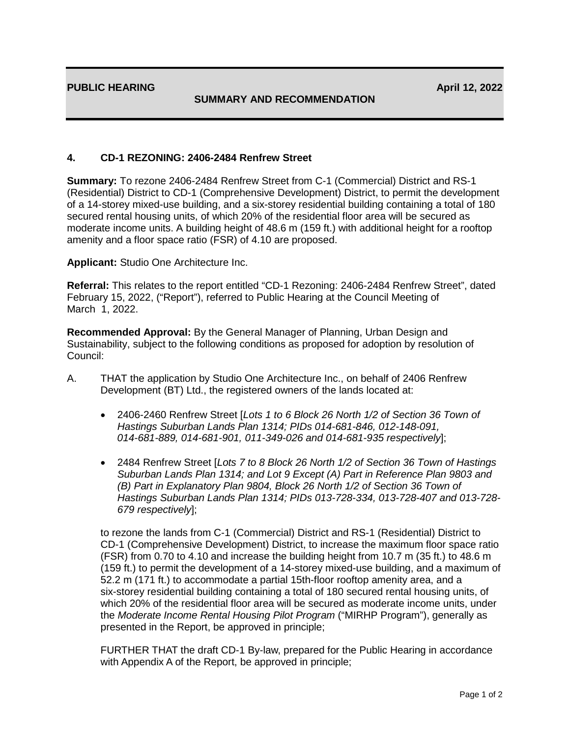## **SUMMARY AND RECOMMENDATION**

## **4. CD-1 REZONING: 2406-2484 Renfrew Street**

**Summary:** To rezone 2406-2484 Renfrew Street from C-1 (Commercial) District and RS-1 (Residential) District to CD-1 (Comprehensive Development) District, to permit the development of a 14-storey mixed-use building, and a six-storey residential building containing a total of 180 secured rental housing units, of which 20% of the residential floor area will be secured as moderate income units. A building height of 48.6 m (159 ft.) with additional height for a rooftop amenity and a floor space ratio (FSR) of 4.10 are proposed.

**Applicant:** Studio One Architecture Inc.

**Referral:** This relates to the report entitled "CD-1 Rezoning: 2406-2484 Renfrew Street", dated February 15, 2022, ("Report"), referred to Public Hearing at the Council Meeting of March 1, 2022.

**Recommended Approval:** By the General Manager of Planning, Urban Design and Sustainability, subject to the following conditions as proposed for adoption by resolution of Council:

- A. THAT the application by Studio One Architecture Inc., on behalf of 2406 Renfrew Development (BT) Ltd., the registered owners of the lands located at:
	- 2406-2460 Renfrew Street [*Lots 1 to 6 Block 26 North 1/2 of Section 36 Town of Hastings Suburban Lands Plan 1314; PIDs 014-681-846, 012-148-091, 014-681-889, 014-681-901, 011-349-026 and 014-681-935 respectively*];
	- 2484 Renfrew Street [*Lots 7 to 8 Block 26 North 1/2 of Section 36 Town of Hastings Suburban Lands Plan 1314; and Lot 9 Except (A) Part in Reference Plan 9803 and (B) Part in Explanatory Plan 9804, Block 26 North 1/2 of Section 36 Town of Hastings Suburban Lands Plan 1314; PIDs 013-728-334, 013-728-407 and 013-728- 679 respectively*];

to rezone the lands from C-1 (Commercial) District and RS-1 (Residential) District to CD-1 (Comprehensive Development) District, to increase the maximum floor space ratio (FSR) from 0.70 to 4.10 and increase the building height from 10.7 m (35 ft.) to 48.6 m (159 ft.) to permit the development of a 14-storey mixed-use building, and a maximum of 52.2 m (171 ft.) to accommodate a partial 15th-floor rooftop amenity area, and a six-storey residential building containing a total of 180 secured rental housing units, of which 20% of the residential floor area will be secured as moderate income units, under the *Moderate Income Rental Housing Pilot Program* ("MIRHP Program"), generally as presented in the Report, be approved in principle;

FURTHER THAT the draft CD-1 By-law, prepared for the Public Hearing in accordance with Appendix A of the Report, be approved in principle;